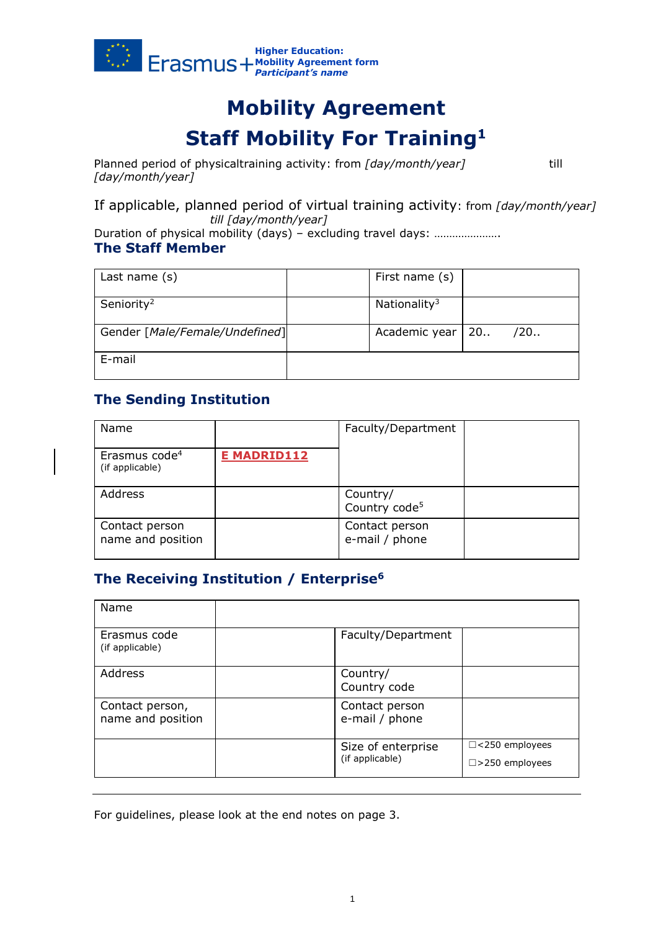

# **Mobility Agreement Staff Mobility For Training<sup>1</sup>**

Planned period of physicaltraining activity: from *[day/month/year]* till *[day/month/year]*

If applicable, planned period of virtual training activity: from *[day/month/year] till [day/month/year]* 

Duration of physical mobility (days) – excluding travel days: …………………… **The Staff Member**

| Last name $(s)$                | First name (s)           |     |
|--------------------------------|--------------------------|-----|
| Seniority <sup>2</sup>         | Nationality <sup>3</sup> |     |
| Gender [Male/Female/Undefined] | Academic year   20       | /20 |
| E-mail                         |                          |     |

# **The Sending Institution**

| Name                                         |                    | Faculty/Department                    |  |
|----------------------------------------------|--------------------|---------------------------------------|--|
| Erasmus code <sup>4</sup><br>(if applicable) | <b>E MADRID112</b> |                                       |  |
| Address                                      |                    | Country/<br>Country code <sup>5</sup> |  |
| Contact person<br>name and position          |                    | Contact person<br>e-mail / phone      |  |

## **The Receiving Institution / Enterprise<sup>6</sup>**

| Name                                 |                                       |                                                   |
|--------------------------------------|---------------------------------------|---------------------------------------------------|
| Erasmus code<br>(if applicable)      | Faculty/Department                    |                                                   |
| Address                              | Country/<br>Country code              |                                                   |
| Contact person,<br>name and position | Contact person<br>e-mail / phone      |                                                   |
|                                      | Size of enterprise<br>(if applicable) | $\Box$ <250 employees<br>$\square$ >250 employees |

For guidelines, please look at the end notes on page 3.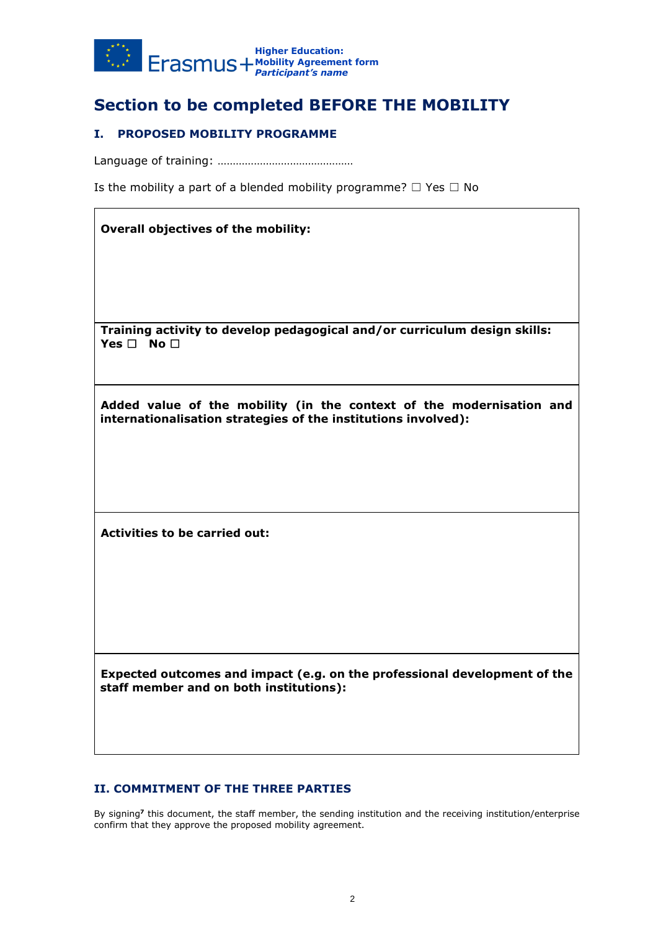

# **Section to be completed BEFORE THE MOBILITY**

## **I. PROPOSED MOBILITY PROGRAMME**

Language of training: ………………………………………

Is the mobility a part of a blended mobility programme?  $\Box$  Yes  $\Box$  No

| <b>Overall objectives of the mobility:</b>                                                                                             |
|----------------------------------------------------------------------------------------------------------------------------------------|
|                                                                                                                                        |
| Training activity to develop pedagogical and/or curriculum design skills:<br>Yes $\Box$ No $\Box$                                      |
| Added value of the mobility (in the context of the modernisation and<br>internationalisation strategies of the institutions involved): |
|                                                                                                                                        |
| <b>Activities to be carried out:</b>                                                                                                   |
|                                                                                                                                        |
|                                                                                                                                        |
| Expected outcomes and impact (e.g. on the professional development of the<br>staff member and on both institutions):                   |
|                                                                                                                                        |

## **II. COMMITMENT OF THE THREE PARTIES**

By signing**<sup>7</sup>** this document, the staff member, the sending institution and the receiving institution/enterprise confirm that they approve the proposed mobility agreement.